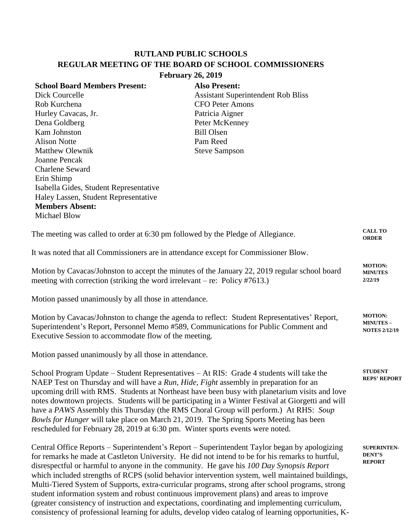## **RUTLAND PUBLIC SCHOOLS REGULAR MEETING OF THE BOARD OF SCHOOL COMMISSIONERS February 26, 2019**

| <b>School Board Members Present:</b>   | <b>Also Present:</b>                      |
|----------------------------------------|-------------------------------------------|
| Dick Courcelle                         | <b>Assistant Superintendent Rob Bliss</b> |
| Rob Kurchena                           | <b>CFO</b> Peter Amons                    |
| Hurley Cavacas, Jr.                    | Patricia Aigner                           |
| Dena Goldberg                          | Peter McKenney                            |
| Kam Johnston                           | <b>Bill Olsen</b>                         |
| <b>Alison Notte</b>                    | Pam Reed                                  |
| <b>Matthew Olewnik</b>                 | <b>Steve Sampson</b>                      |
| Joanne Pencak                          |                                           |
| <b>Charlene Seward</b>                 |                                           |
| Erin Shimp                             |                                           |
| Isabella Gides, Student Representative |                                           |
| Haley Lassen, Student Representative   |                                           |
| <b>Members Absent:</b>                 |                                           |
| Michael Blow                           |                                           |
|                                        |                                           |

The meeting was called to order at 6:30 pm followed by the Pledge of Allegiance. It was noted that all Commissioners are in attendance except for Commissioner Blow. Motion by Cavacas/Johnston to accept the minutes of the January 22, 2019 regular school board meeting with correction (striking the word irrelevant – re: Policy #7613.) **CALL TO ORDER MOTION: MINUTES 2/22/19**

Motion passed unanimously by all those in attendance.

Motion by Cavacas/Johnston to change the agenda to reflect: Student Representatives' Report, Superintendent's Report, Personnel Memo #589, Communications for Public Comment and Executive Session to accommodate flow of the meeting. **MOTION: MINUTES – NOTES 2/12/19**

Motion passed unanimously by all those in attendance.

School Program Update – Student Representatives – At RIS: Grade 4 students will take the NAEP Test on Thursday and will have a *Run, Hide, Fight* assembly in preparation for an upcoming drill with RMS. Students at Northeast have been busy with planetarium visits and love notes downtown projects. Students will be participating in a Winter Festival at Giorgetti and will have a *PAWS* Assembly this Thursday (the RMS Choral Group will perform.) At RHS: *Soup Bowls for Hunger* will take place on March 21, 2019. The Spring Sports Meeting has been rescheduled for February 28, 2019 at 6:30 pm. Winter sports events were noted.

Central Office Reports – Superintendent's Report – Superintendent Taylor began by apologizing for remarks he made at Castleton University. He did not intend to be for his remarks to hurtful, disrespectful or harmful to anyone in the community. He gave his *100 Day Synopsis Report* which included strengths of RCPS (solid behavior intervention system, well maintained buildings, Multi-Tiered System of Supports, extra-curricular programs, strong after school programs, strong student information system and robust continuous improvement plans) and areas to improve (greater consistency of instruction and expectations, coordinating and implementing curriculum, consistency of professional learning for adults, develop video catalog of learning opportunities, K- **STUDENT** 

**REPS' REPORT**

**SUPERINTEN-DENT'S REPORT**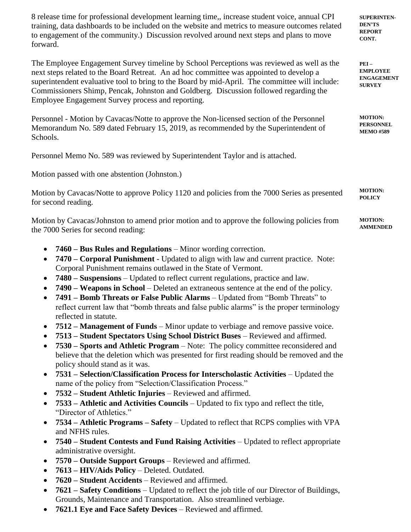8 release time for professional development learning time,, increase student voice, annual CPI training, data dashboards to be included on the website and metrics to measure outcomes related to engagement of the community.) Discussion revolved around next steps and plans to move forward.

**SUPERINTEN-DEN'TS REPORT CONT.**

**PEI – EMPLOYEE ENGAGEMENT SURVEY**

**MOTION: PERSONNEL MEMO #589**

The Employee Engagement Survey timeline by School Perceptions was reviewed as well as the next steps related to the Board Retreat. An ad hoc committee was appointed to develop a superintendent evaluative tool to bring to the Board by mid-April. The committee will include: Commissioners Shimp, Pencak, Johnston and Goldberg. Discussion followed regarding the Employee Engagement Survey process and reporting.

Personnel - Motion by Cavacas/Notte to approve the Non-licensed section of the Personnel Memorandum No. 589 dated February 15, 2019, as recommended by the Superintendent of Schools.

Personnel Memo No. 589 was reviewed by Superintendent Taylor and is attached.

Motion passed with one abstention (Johnston.)

Motion by Cavacas/Notte to approve Policy 1120 and policies from the 7000 Series as presented for second reading. **MOTION: POLICY**

Motion by Cavacas/Johnston to amend prior motion and to approve the following policies from the 7000 Series for second reading: **MOTION: AMMENDED**

- **7460 – Bus Rules and Regulations** Minor wording correction.
- **7470 – Corporal Punishment** Updated to align with law and current practice. Note: Corporal Punishment remains outlawed in the State of Vermont.
- **7480 – Suspensions** Updated to reflect current regulations, practice and law.
- **7490 – Weapons in School**  Deleted an extraneous sentence at the end of the policy.
- **7491 – Bomb Threats or False Public Alarms**  Updated from "Bomb Threats" to reflect current law that "bomb threats and false public alarms" is the proper terminology reflected in statute.
- **7512 – Management of Funds** Minor update to verbiage and remove passive voice.
- **7513 – Student Spectators Using School District Buses** Reviewed and affirmed.
- **7530 – Sports and Athletic Program** Note: The policy committee reconsidered and believe that the deletion which was presented for first reading should be removed and the policy should stand as it was.
- **7531 – Selection/Classification Process for Interscholastic Activities**  Updated the name of the policy from "Selection/Classification Process."
- **7532 – Student Athletic Injuries** Reviewed and affirmed.
- **7533 – Athletic and Activities Councils** Updated to fix typo and reflect the title, "Director of Athletics."
- **7534 – Athletic Programs – Safety** Updated to reflect that RCPS complies with VPA and NFHS rules.
- **7540 – Student Contests and Fund Raising Activities** Updated to reflect appropriate administrative oversight.
- **7570 – Outside Support Groups** Reviewed and affirmed.
- **7613 – HIV/Aids Policy** Deleted. Outdated.
- **7620 – Student Accidents** Reviewed and affirmed.
- **7621 – Safety Conditions** Updated to reflect the job title of our Director of Buildings, Grounds, Maintenance and Transportation. Also streamlined verbiage.
- **7621.1 Eye and Face Safety Devices** Reviewed and affirmed.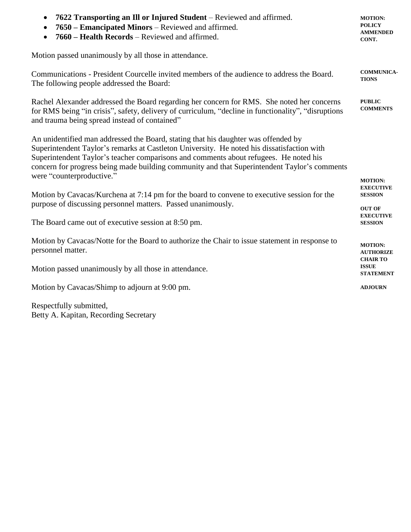| 7622 Transporting an Ill or Injured Student - Reviewed and affirmed.<br>7650 – Emancipated Minors – Reviewed and affirmed.<br>7660 – Health Records – Reviewed and affirmed.<br>$\bullet$                                                                                                                                                                                                                                                                                                                                                                                                                                    | <b>MOTION:</b><br><b>POLICY</b><br><b>AMMENDED</b><br>CONT. |                                                                                                                                                                              |  |
|------------------------------------------------------------------------------------------------------------------------------------------------------------------------------------------------------------------------------------------------------------------------------------------------------------------------------------------------------------------------------------------------------------------------------------------------------------------------------------------------------------------------------------------------------------------------------------------------------------------------------|-------------------------------------------------------------|------------------------------------------------------------------------------------------------------------------------------------------------------------------------------|--|
| Motion passed unanimously by all those in attendance.                                                                                                                                                                                                                                                                                                                                                                                                                                                                                                                                                                        |                                                             |                                                                                                                                                                              |  |
| Communications - President Courcelle invited members of the audience to address the Board.<br>The following people addressed the Board:                                                                                                                                                                                                                                                                                                                                                                                                                                                                                      | <b>COMMUNICA-</b><br><b>TIONS</b>                           |                                                                                                                                                                              |  |
| Rachel Alexander addressed the Board regarding her concern for RMS. She noted her concerns<br>for RMS being "in crisis", safety, delivery of curriculum, "decline in functionality", "disruptions<br>and trauma being spread instead of contained"                                                                                                                                                                                                                                                                                                                                                                           | <b>PUBLIC</b><br><b>COMMENTS</b>                            |                                                                                                                                                                              |  |
| An unidentified man addressed the Board, stating that his daughter was offended by<br>Superintendent Taylor's remarks at Castleton University. He noted his dissatisfaction with<br>Superintendent Taylor's teacher comparisons and comments about refugees. He noted his<br>concern for progress being made building community and that Superintendent Taylor's comments<br>were "counterproductive."<br>Motion by Cavacas/Kurchena at 7:14 pm for the board to convene to executive session for the<br>purpose of discussing personnel matters. Passed unanimously.<br>The Board came out of executive session at 8:50 pm. |                                                             |                                                                                                                                                                              |  |
|                                                                                                                                                                                                                                                                                                                                                                                                                                                                                                                                                                                                                              |                                                             | Motion by Cavacas/Notte for the Board to authorize the Chair to issue statement in response to<br>personnel matter.<br>Motion passed unanimously by all those in attendance. |  |
|                                                                                                                                                                                                                                                                                                                                                                                                                                                                                                                                                                                                                              |                                                             |                                                                                                                                                                              |  |
| Respectfully submitted,                                                                                                                                                                                                                                                                                                                                                                                                                                                                                                                                                                                                      |                                                             |                                                                                                                                                                              |  |

Betty A. Kapitan, Recording Secretary